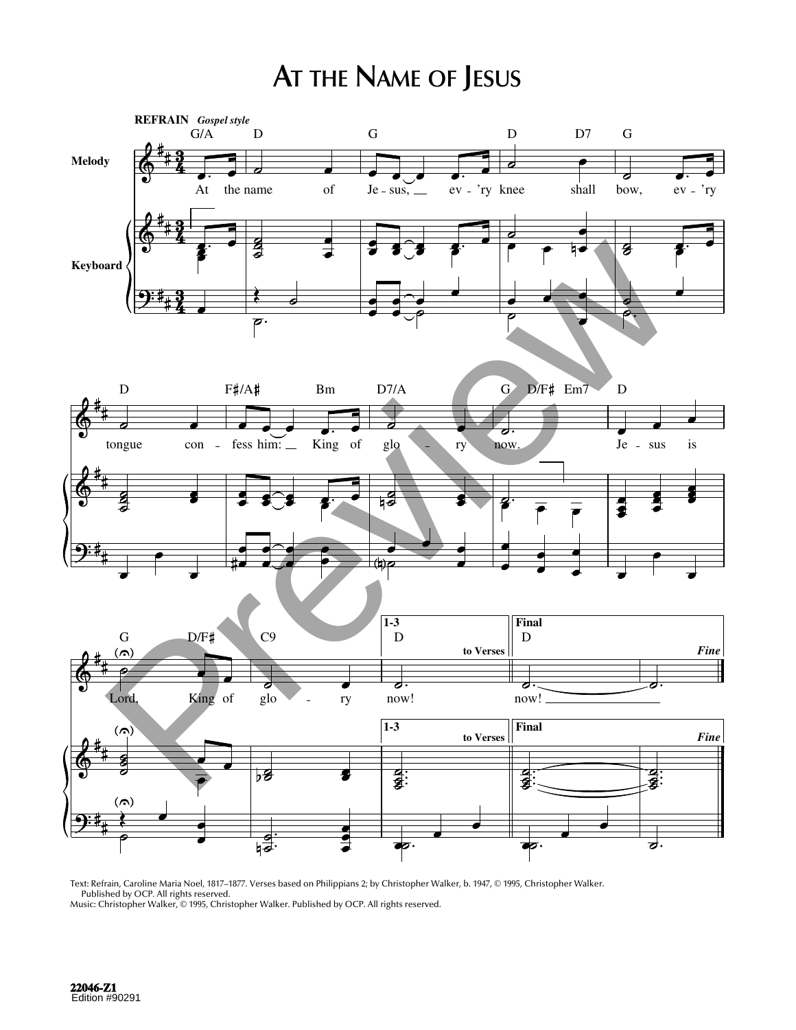## **AT THE NAME OF JESUS**



Text: Refrain, Caroline Maria Noel, 1817–1877. Verses based on Philippians 2; by Christopher Walker, b. 1947, © 1995, Christopher Walker. Published by OCP. All rights reserved.

Music: Christopher Walker, © 1995, Christopher Walker. Published by OCP. All rights reserved.